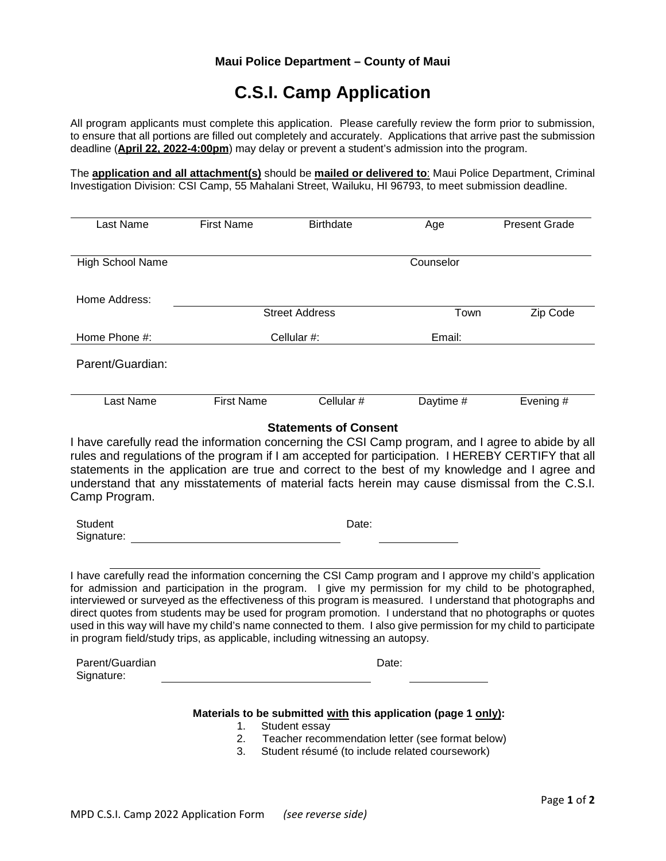# **C.S.I. Camp Application**

All program applicants must complete this application. Please carefully review the form prior to submission, to ensure that all portions are filled out completely and accurately. Applications that arrive past the submission deadline (**April 22, 2022-4:00pm**) may delay or prevent a student's admission into the program.

The **application and all attachment(s)** should be **mailed or delivered to**: Maui Police Department, Criminal Investigation Division: CSI Camp, 55 Mahalani Street, Wailuku, HI 96793, to meet submission deadline.

| Last Name                                                                                                                                                                                                                                                                                                                                                                                                                                                                                                                                                                                                                                                               | <b>First Name</b> | <b>Birthdate</b>      | Age                                                                                                                                                                  | <b>Present Grade</b> |
|-------------------------------------------------------------------------------------------------------------------------------------------------------------------------------------------------------------------------------------------------------------------------------------------------------------------------------------------------------------------------------------------------------------------------------------------------------------------------------------------------------------------------------------------------------------------------------------------------------------------------------------------------------------------------|-------------------|-----------------------|----------------------------------------------------------------------------------------------------------------------------------------------------------------------|----------------------|
| High School Name                                                                                                                                                                                                                                                                                                                                                                                                                                                                                                                                                                                                                                                        |                   |                       | Counselor                                                                                                                                                            |                      |
| Home Address:                                                                                                                                                                                                                                                                                                                                                                                                                                                                                                                                                                                                                                                           |                   | <b>Street Address</b> | Town                                                                                                                                                                 | Zip Code             |
| Home Phone #:                                                                                                                                                                                                                                                                                                                                                                                                                                                                                                                                                                                                                                                           | Cellular #:       |                       | Email:                                                                                                                                                               |                      |
| Parent/Guardian:                                                                                                                                                                                                                                                                                                                                                                                                                                                                                                                                                                                                                                                        |                   |                       |                                                                                                                                                                      |                      |
| Last Name                                                                                                                                                                                                                                                                                                                                                                                                                                                                                                                                                                                                                                                               | <b>First Name</b> | Cellular #            | Daytime #                                                                                                                                                            | Evening #            |
| I have carefully read the information concerning the CSI Camp program, and I agree to abide by all<br>rules and regulations of the program if I am accepted for participation. I HEREBY CERTIFY that all<br>statements in the application are true and correct to the best of my knowledge and I agree and<br>understand that any misstatements of material facts herein may cause dismissal from the C.S.I.<br>Camp Program.                                                                                                                                                                                                                                           |                   |                       |                                                                                                                                                                      |                      |
| <b>Student</b><br>Signature:                                                                                                                                                                                                                                                                                                                                                                                                                                                                                                                                                                                                                                            | Date:             |                       |                                                                                                                                                                      |                      |
| I have carefully read the information concerning the CSI Camp program and I approve my child's application<br>for admission and participation in the program. I give my permission for my child to be photographed,<br>interviewed or surveyed as the effectiveness of this program is measured. I understand that photographs and<br>direct quotes from students may be used for program promotion. I understand that no photographs or quotes<br>used in this way will have my child's name connected to them. I also give permission for my child to participate<br>in program field/study trips, as applicable, including witnessing an autopsy.<br>Parent/Guardian |                   |                       | Date:                                                                                                                                                                |                      |
| Signature:                                                                                                                                                                                                                                                                                                                                                                                                                                                                                                                                                                                                                                                              |                   |                       |                                                                                                                                                                      |                      |
|                                                                                                                                                                                                                                                                                                                                                                                                                                                                                                                                                                                                                                                                         | 1.<br>2.<br>3.    | Student essay         | Materials to be submitted with this application (page 1 only):<br>Teacher recommendation letter (see format below)<br>Student résumé (to include related coursework) |                      |